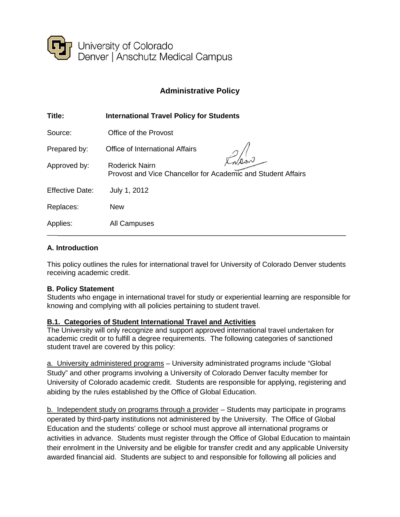

# **Administrative Policy**

| Title:                 | <b>International Travel Policy for Students</b>                                       |
|------------------------|---------------------------------------------------------------------------------------|
| Source:                | Office of the Provost                                                                 |
| Prepared by:           | Office of International Affairs                                                       |
| Approved by:           | <b>Roderick Nairn</b><br>Provost and Vice Chancellor for Academic and Student Affairs |
| <b>Effective Date:</b> | July 1, 2012                                                                          |
| Replaces:              | <b>New</b>                                                                            |
| Applies:               | All Campuses                                                                          |

### **A. Introduction**

This policy outlines the rules for international travel for University of Colorado Denver students receiving academic credit.

### **B. Policy Statement**

Students who engage in international travel for study or experiential learning are responsible for knowing and complying with all policies pertaining to student travel.

### **B.1. Categories of Student International Travel and Activities**

The University will only recognize and support approved international travel undertaken for academic credit or to fulfill a degree requirements. The following categories of sanctioned student travel are covered by this policy:

a. University administered programs – University administrated programs include "Global Study" and other programs involving a University of Colorado Denver faculty member for University of Colorado academic credit. Students are responsible for applying, registering and abiding by the rules established by the Office of Global Education.

b. Independent study on programs through a provider – Students may participate in programs operated by third-party institutions not administered by the University. The Office of Global Education and the students' college or school must approve all international programs or activities in advance. Students must register through the Office of Global Education to maintain their enrolment in the University and be eligible for transfer credit and any applicable University awarded financial aid. Students are subject to and responsible for following all policies and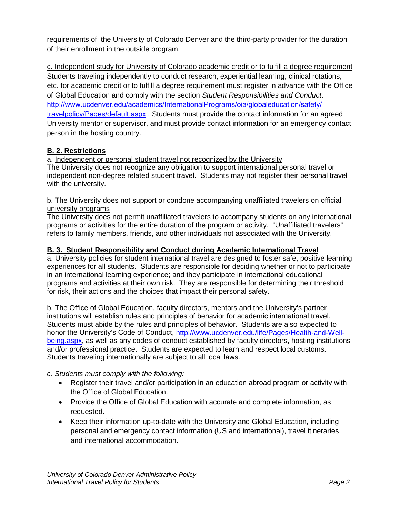requirements of the University of Colorado Denver and the third-party provider for the duration of their enrollment in the outside program.

c. Independent study for University of Colorado academic credit or to fulfill a degree requirement Students traveling independently to conduct research, experiential learning, clinical rotations, etc. for academic credit or to fulfill a degree requirement must register in advance with the Office of Global Education and comply with the section *Student Responsibilities and Conduct*. [http://www.ucdenver.edu/academics/InternationalPrograms/oia/globaleducation/safety/](http://www.ucdenver.edu/academics/InternationalPrograms/oia/globaleducation/safety/travelpolicy/Pages/default.aspx) [travelpolicy/Pages/default.aspx](http://www.ucdenver.edu/academics/InternationalPrograms/oia/globaleducation/safety/travelpolicy/Pages/default.aspx) . Students must provide the contact information for an agreed University mentor or supervisor, and must provide contact information for an emergency contact person in the hosting country.

# **B. 2. Restrictions**

a. Independent or personal student travel not recognized by the University

The University does not recognize any obligation to support international personal travel or independent non-degree related student travel. Students may not register their personal travel with the university.

#### b. The University does not support or condone accompanying unaffiliated travelers on official university programs

The University does not permit unaffiliated travelers to accompany students on any international programs or activities for the entire duration of the program or activity. "Unaffiliated travelers" refers to family members, friends, and other individuals not associated with the University.

### **B. 3. Student Responsibility and Conduct during Academic International Travel**

a. University policies for student international travel are designed to foster safe, positive learning experiences for all students. Students are responsible for deciding whether or not to participate in an international learning experience; and they participate in international educational programs and activities at their own risk. They are responsible for determining their threshold for risk, their actions and the choices that impact their personal safety.

b. The Office of Global Education, faculty directors, mentors and the University's partner institutions will establish rules and principles of behavior for academic international travel. Students must abide by the rules and principles of behavior. Students are also expected to honor the University's Code of Conduct, [http://www.ucdenver.edu/life/Pages/Health-and-Well](http://www.ucdenver.edu/life/Pages/Health-and-Well-being.aspx)[being.aspx,](http://www.ucdenver.edu/life/Pages/Health-and-Well-being.aspx) as well as any codes of conduct established by faculty directors, hosting institutions and/or professional practice. Students are expected to learn and respect local customs. Students traveling internationally are subject to all local laws.

# *c. Students must comply with the following:*

- Register their travel and/or participation in an education abroad program or activity with the Office of Global Education.
- Provide the Office of Global Education with accurate and complete information, as requested.
- Keep their information up-to-date with the University and Global Education, including personal and emergency contact information (US and international), travel itineraries and international accommodation.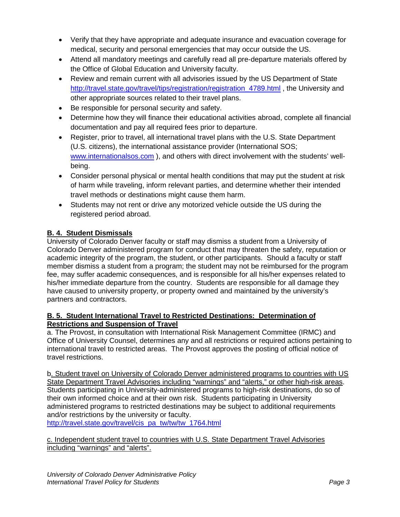- Verify that they have appropriate and adequate insurance and evacuation coverage for medical, security and personal emergencies that may occur outside the US.
- Attend all mandatory meetings and carefully read all pre-departure materials offered by the Office of Global Education and University faculty.
- Review and remain current with all advisories issued by the US Department of State [http://travel.state.gov/travel/tips/registration/registration\\_4789.html](http://travel.state.gov/travel/tips/registration/registration_4789.html) , the University and other appropriate sources related to their travel plans.
- Be responsible for personal security and safety.
- Determine how they will finance their educational activities abroad, complete all financial documentation and pay all required fees prior to departure.
- Register, prior to travel, all international travel plans with the U.S. State Department (U.S. citizens), the international assistance provider (International SOS; [www.internationalsos.com](http://www.internationalsos.com/) ), and others with direct involvement with the students' wellbeing.
- Consider personal physical or mental health conditions that may put the student at risk of harm while traveling, inform relevant parties, and determine whether their intended travel methods or destinations might cause them harm.
- Students may not rent or drive any motorized vehicle outside the US during the registered period abroad.

# **B. 4. Student Dismissals**

University of Colorado Denver faculty or staff may dismiss a student from a University of Colorado Denver administered program for conduct that may threaten the safety, reputation or academic integrity of the program, the student, or other participants. Should a faculty or staff member dismiss a student from a program; the student may not be reimbursed for the program fee, may suffer academic consequences, and is responsible for all his/her expenses related to his/her immediate departure from the country. Students are responsible for all damage they have caused to university property, or property owned and maintained by the university's partners and contractors.

### **B. 5. Student International Travel to Restricted Destinations: Determination of Restrictions and Suspension of Travel**

a. The Provost, in consultation with International Risk Management Committee (IRMC) and Office of University Counsel, determines any and all restrictions or required actions pertaining to international travel to restricted areas. The Provost approves the posting of official notice of travel restrictions.

b. Student travel on University of Colorado Denver administered programs to countries with US State Department Travel Advisories including "warnings" and "alerts," or other high-risk areas. Students participating in University-administered programs to high-risk destinations, do so of their own informed choice and at their own risk. Students participating in University administered programs to restricted destinations may be subject to additional requirements and/or restrictions by the university or faculty.

[http://travel.state.gov/travel/cis\\_pa\\_tw/tw/tw\\_1764.html](http://travel.state.gov/travel/cis_pa_tw/tw/tw_1764.html) 

c. Independent student travel to countries with U.S. State Department Travel Advisories including "warnings" and "alerts".